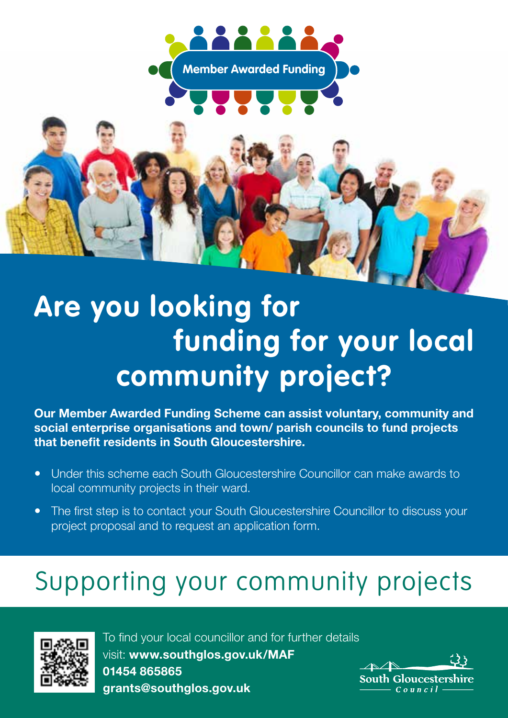

## **Are you looking for funding for your local community project?**

**Our Member Awarded Funding Scheme can assist voluntary, community and social enterprise organisations and town/ parish councils to fund projects that benefit residents in South Gloucestershire.**

- Under this scheme each South Gloucestershire Councillor can make awards to local community projects in their ward.
- The first step is to contact your South Gloucestershire Councillor to discuss your project proposal and to request an application form.

## Supporting your community projects



To find your local councillor and for further details visit: **www.southglos.gov.uk/MAF 01454 865865 grants@southglos.gov.uk**